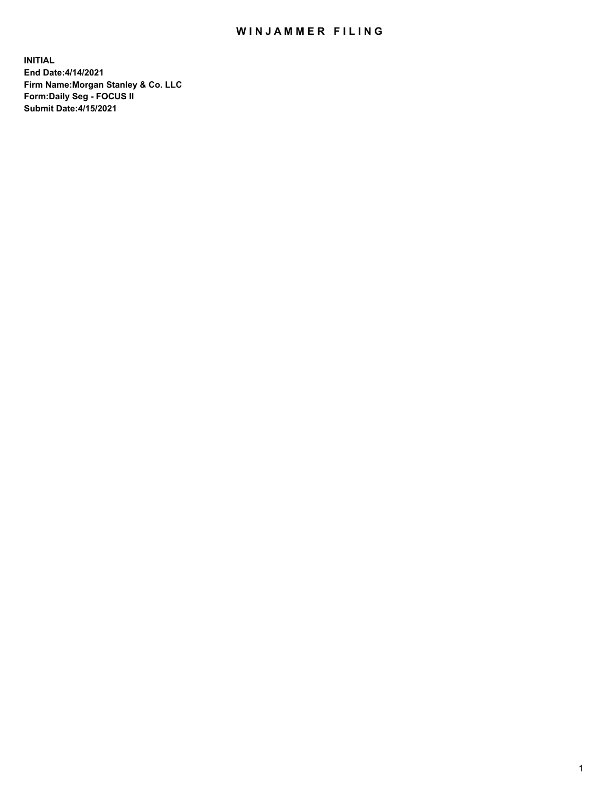## WIN JAMMER FILING

**INITIAL End Date:4/14/2021 Firm Name:Morgan Stanley & Co. LLC Form:Daily Seg - FOCUS II Submit Date:4/15/2021**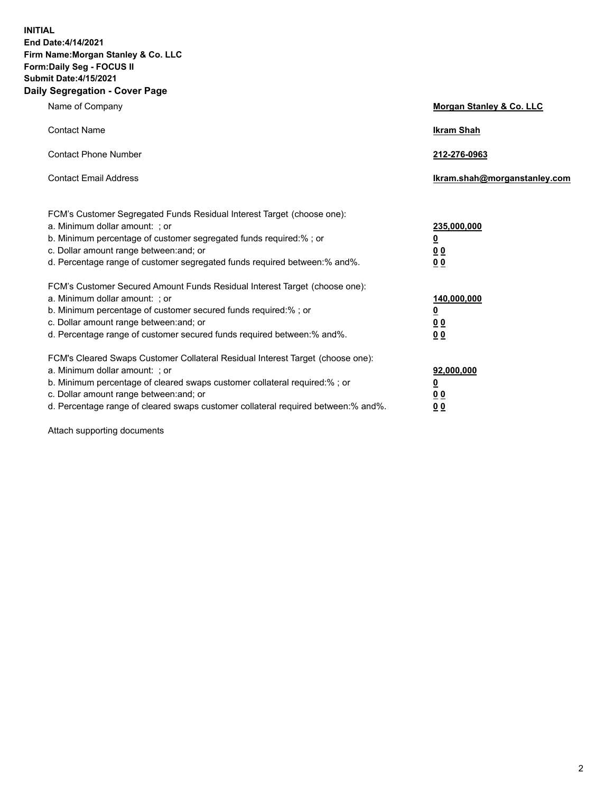**INITIAL End Date:4/14/2021 Firm Name:Morgan Stanley & Co. LLC Form:Daily Seg - FOCUS II Submit Date:4/15/2021 Daily Segregation - Cover Page**

| Name of Company                                                                                                                                                                                                                                                                                                                | <b>Morgan Stanley &amp; Co. LLC</b>                    |
|--------------------------------------------------------------------------------------------------------------------------------------------------------------------------------------------------------------------------------------------------------------------------------------------------------------------------------|--------------------------------------------------------|
| <b>Contact Name</b>                                                                                                                                                                                                                                                                                                            | <b>Ikram Shah</b>                                      |
| <b>Contact Phone Number</b>                                                                                                                                                                                                                                                                                                    | 212-276-0963                                           |
| <b>Contact Email Address</b>                                                                                                                                                                                                                                                                                                   | Ikram.shah@morganstanley.com                           |
| FCM's Customer Segregated Funds Residual Interest Target (choose one):<br>a. Minimum dollar amount: : or<br>b. Minimum percentage of customer segregated funds required:%; or<br>c. Dollar amount range between: and; or<br>d. Percentage range of customer segregated funds required between:% and%.                          | 235,000,000<br><u>0</u><br><u>00</u><br><u>00</u>      |
| FCM's Customer Secured Amount Funds Residual Interest Target (choose one):<br>a. Minimum dollar amount: ; or<br>b. Minimum percentage of customer secured funds required:%; or<br>c. Dollar amount range between: and; or<br>d. Percentage range of customer secured funds required between:% and%.                            | 140,000,000<br><u>0</u><br><u>00</u><br>0 <sub>0</sub> |
| FCM's Cleared Swaps Customer Collateral Residual Interest Target (choose one):<br>a. Minimum dollar amount: ; or<br>b. Minimum percentage of cleared swaps customer collateral required:% ; or<br>c. Dollar amount range between: and; or<br>d. Percentage range of cleared swaps customer collateral required between:% and%. | 92,000,000<br><u>0</u><br><u>00</u><br>00              |

Attach supporting documents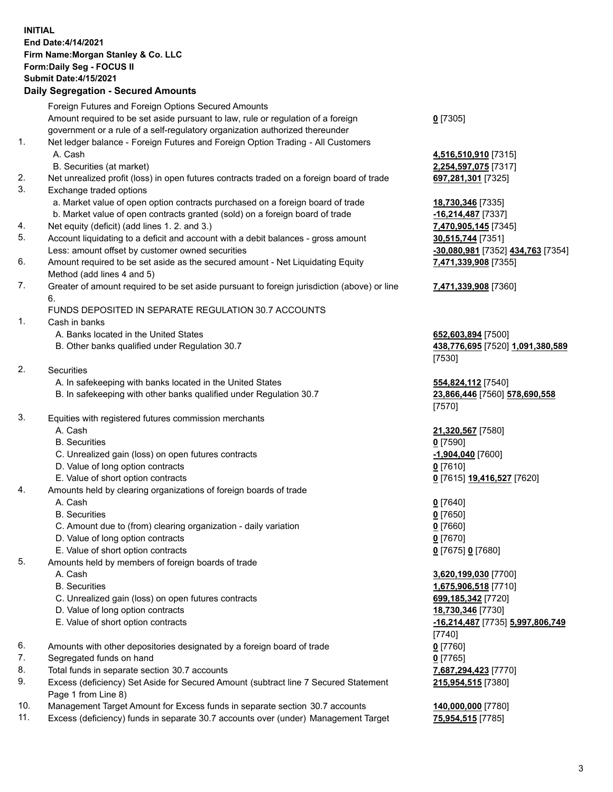## **INITIAL End Date:4/14/2021 Firm Name:Morgan Stanley & Co. LLC Form:Daily Seg - FOCUS II Submit Date:4/15/2021**

## **Daily Segregation - Secured Amounts**

Foreign Futures and Foreign Options Secured Amounts Amount required to be set aside pursuant to law, rule or regulation of a foreign government or a rule of a self-regulatory organization authorized thereunder 1. Net ledger balance - Foreign Futures and Foreign Option Trading - All Customers A. Cash **4,516,510,910** [7315] B. Securities (at market) **2,254,597,075** [7317] 2. Net unrealized profit (loss) in open futures contracts traded on a foreign board of trade **697,281,301** [7325] 3. Exchange traded options a. Market value of open option contracts purchased on a foreign board of trade **18,730,346** [7335] b. Market value of open contracts granted (sold) on a foreign board of trade **-16,214,487** [7337] 4. Net equity (deficit) (add lines 1. 2. and 3.) **7,470,905,145** [7345] 5. Account liquidating to a deficit and account with a debit balances - gross amount **30,515,744** [7351] Less: amount offset by customer owned securities **-30,080,981** [7352] **434,763** [7354] 6. Amount required to be set aside as the secured amount - Net Liquidating Equity Method (add lines 4 and 5) 7. Greater of amount required to be set aside pursuant to foreign jurisdiction (above) or line 6. FUNDS DEPOSITED IN SEPARATE REGULATION 30.7 ACCOUNTS 1. Cash in banks A. Banks located in the United States **652,603,894** [7500] B. Other banks qualified under Regulation 30.7 **438,776,695** [7520] **1,091,380,589** 2. Securities A. In safekeeping with banks located in the United States **554,824,112** [7540] B. In safekeeping with other banks qualified under Regulation 30.7 **23,866,446** [7560] **578,690,558** 3. Equities with registered futures commission merchants A. Cash **21,320,567** [7580] B. Securities **0** [7590] C. Unrealized gain (loss) on open futures contracts **-1,904,040** [7600] D. Value of long option contracts **0** [7610] E. Value of short option contracts **0** [7615] **19,416,527** [7620] 4. Amounts held by clearing organizations of foreign boards of trade A. Cash **0** [7640] B. Securities **0** [7650] C. Amount due to (from) clearing organization - daily variation **0** [7660] D. Value of long option contracts **0** [7670] E. Value of short option contracts **0** [7675] **0** [7680] 5. Amounts held by members of foreign boards of trade A. Cash **3,620,199,030** [7700] B. Securities **1,675,906,518** [7710] C. Unrealized gain (loss) on open futures contracts **699,185,342** [7720] D. Value of long option contracts **18,730,346** [7730] E. Value of short option contracts **-16,214,487** [7735] **5,997,806,749** 6. Amounts with other depositories designated by a foreign board of trade **0** [7760] 7. Segregated funds on hand **0** [7765] 8. Total funds in separate section 30.7 accounts **7,687,294,423** [7770] 9. Excess (deficiency) Set Aside for Secured Amount (subtract line 7 Secured Statement Page 1 from Line 8)

- 10. Management Target Amount for Excess funds in separate section 30.7 accounts **140,000,000** [7780]
- 11. Excess (deficiency) funds in separate 30.7 accounts over (under) Management Target **75,954,515** [7785]

**0** [7305]

**7,471,339,908** [7355]

## **7,471,339,908** [7360]

[7530]

[7570]

[7740] **215,954,515** [7380]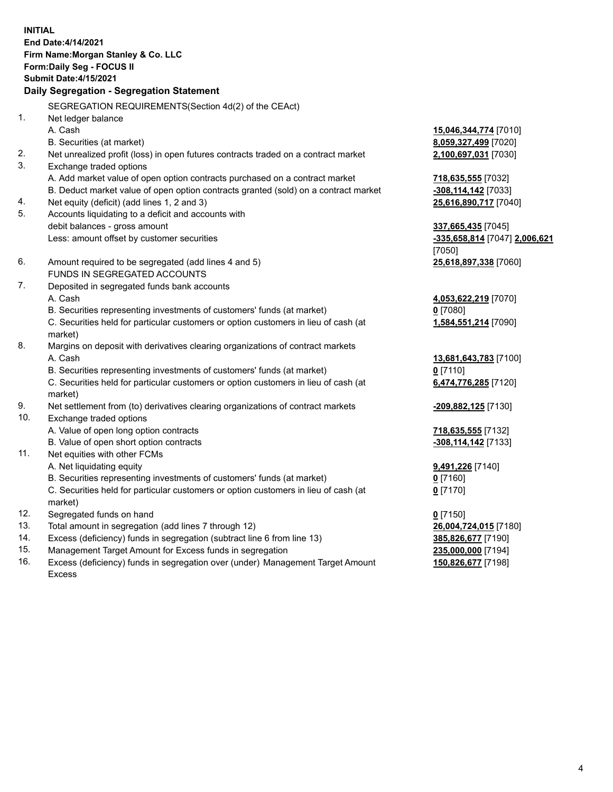**INITIAL End Date:4/14/2021 Firm Name:Morgan Stanley & Co. LLC Form:Daily Seg - FOCUS II Submit Date:4/15/2021 Daily Segregation - Segregation Statement** SEGREGATION REQUIREMENTS(Section 4d(2) of the CEAct) 1. Net ledger balance A. Cash **15,046,344,774** [7010] B. Securities (at market) **8,059,327,499** [7020] 2. Net unrealized profit (loss) in open futures contracts traded on a contract market **2,100,697,031** [7030] 3. Exchange traded options A. Add market value of open option contracts purchased on a contract market **718,635,555** [7032] B. Deduct market value of open option contracts granted (sold) on a contract market **-308,114,142** [7033] 4. Net equity (deficit) (add lines 1, 2 and 3) **25,616,890,717** [7040] 5. Accounts liquidating to a deficit and accounts with debit balances - gross amount **337,665,435** [7045] Less: amount offset by customer securities **-335,658,814** [7047] **2,006,621** [7050] 6. Amount required to be segregated (add lines 4 and 5) **25,618,897,338** [7060] FUNDS IN SEGREGATED ACCOUNTS 7. Deposited in segregated funds bank accounts A. Cash **4,053,622,219** [7070] B. Securities representing investments of customers' funds (at market) **0** [7080] C. Securities held for particular customers or option customers in lieu of cash (at market) **1,584,551,214** [7090] 8. Margins on deposit with derivatives clearing organizations of contract markets A. Cash **13,681,643,783** [7100] B. Securities representing investments of customers' funds (at market) **0** [7110] C. Securities held for particular customers or option customers in lieu of cash (at market) **6,474,776,285** [7120] 9. Net settlement from (to) derivatives clearing organizations of contract markets **-209,882,125** [7130] 10. Exchange traded options A. Value of open long option contracts **718,635,555** [7132] B. Value of open short option contracts **-308,114,142** [7133] 11. Net equities with other FCMs A. Net liquidating equity **9,491,226** [7140] B. Securities representing investments of customers' funds (at market) **0** [7160] C. Securities held for particular customers or option customers in lieu of cash (at market) **0** [7170] 12. Segregated funds on hand **0** [7150] 13. Total amount in segregation (add lines 7 through 12) **26,004,724,015** [7180] 14. Excess (deficiency) funds in segregation (subtract line 6 from line 13) **385,826,677** [7190] 15. Management Target Amount for Excess funds in segregation **235,000,000** [7194]

16. Excess (deficiency) funds in segregation over (under) Management Target Amount Excess

**150,826,677** [7198]